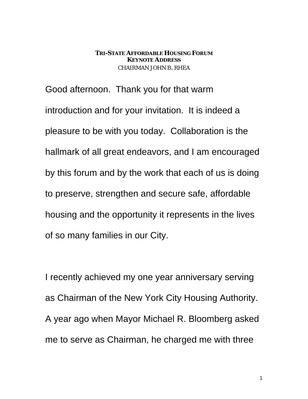#### **TRI-STATE AFFORDABLE HOUSING FORUM KEYNOTE ADDRESS** CHAIRMAN JOHN B. RHEA

Good afternoon. Thank you for that warm introduction and for your invitation. It is indeed a pleasure to be with you today. Collaboration is the hallmark of all great endeavors, and I am encouraged by this forum and by the work that each of us is doing to preserve, strengthen and secure safe, affordable housing and the opportunity it represents in the lives of so many families in our City.

I recently achieved my one year anniversary serving as Chairman of the New York City Housing Authority. A year ago when Mayor Michael R. Bloomberg asked me to serve as Chairman, he charged me with three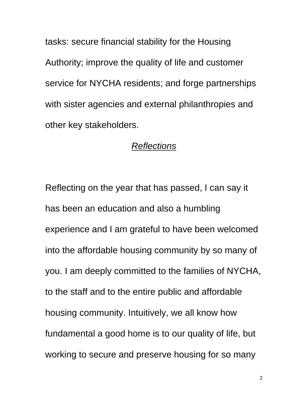tasks: secure financial stability for the Housing Authority; improve the quality of life and customer service for NYCHA residents; and forge partnerships with sister agencies and external philanthropies and other key stakeholders.

# *Reflections*

Reflecting on the year that has passed, I can say it has been an education and also a humbling experience and I am grateful to have been welcomed into the affordable housing community by so many of you. I am deeply committed to the families of NYCHA, to the staff and to the entire public and affordable housing community. Intuitively, we all know how fundamental a good home is to our quality of life, but working to secure and preserve housing for so many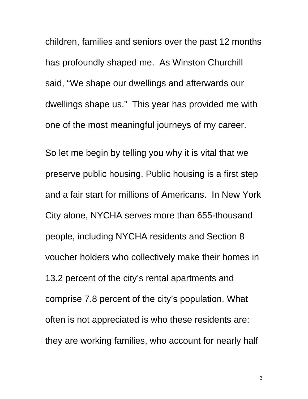children, families and seniors over the past 12 months has profoundly shaped me. As Winston Churchill said, "We shape our dwellings and afterwards our dwellings shape us." This year has provided me with one of the most meaningful journeys of my career.

So let me begin by telling you why it is vital that we preserve public housing. Public housing is a first step and a fair start for millions of Americans. In New York City alone, NYCHA serves more than 655-thousand people, including NYCHA residents and Section 8 voucher holders who collectively make their homes in 13.2 percent of the city's rental apartments and comprise 7.8 percent of the city's population. What often is not appreciated is who these residents are: they are working families, who account for nearly half

3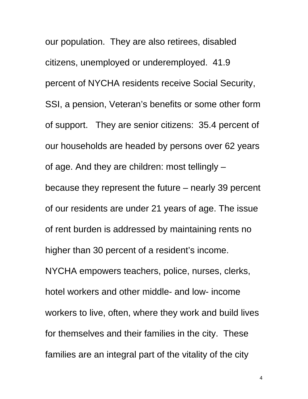our population. They are also retirees, disabled citizens, unemployed or underemployed. 41.9 percent of NYCHA residents receive Social Security, SSI, a pension, Veteran's benefits or some other form of support. They are senior citizens: 35.4 percent of our households are headed by persons over 62 years of age. And they are children: most tellingly – because they represent the future – nearly 39 percent of our residents are under 21 years of age. The issue of rent burden is addressed by maintaining rents no higher than 30 percent of a resident's income. NYCHA empowers teachers, police, nurses, clerks, hotel workers and other middle- and low- income workers to live, often, where they work and build lives for themselves and their families in the city. These families are an integral part of the vitality of the city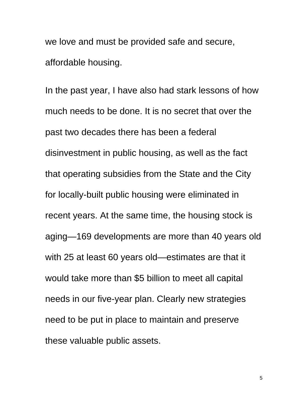we love and must be provided safe and secure, affordable housing.

In the past year, I have also had stark lessons of how much needs to be done. It is no secret that over the past two decades there has been a federal disinvestment in public housing, as well as the fact that operating subsidies from the State and the City for locally-built public housing were eliminated in recent years. At the same time, the housing stock is aging—169 developments are more than 40 years old with 25 at least 60 years old—estimates are that it would take more than \$5 billion to meet all capital needs in our five-year plan. Clearly new strategies need to be put in place to maintain and preserve these valuable public assets.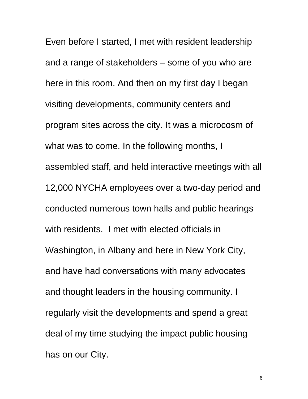Even before I started, I met with resident leadership and a range of stakeholders – some of you who are here in this room. And then on my first day I began visiting developments, community centers and program sites across the city. It was a microcosm of what was to come. In the following months, I assembled staff, and held interactive meetings with all 12,000 NYCHA employees over a two-day period and conducted numerous town halls and public hearings with residents. I met with elected officials in Washington, in Albany and here in New York City, and have had conversations with many advocates and thought leaders in the housing community. I regularly visit the developments and spend a great deal of my time studying the impact public housing has on our City.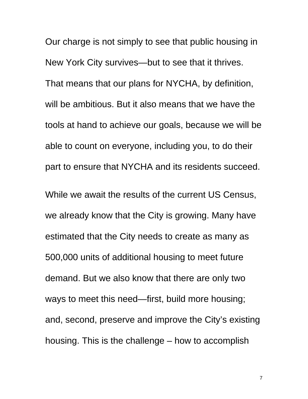Our charge is not simply to see that public housing in New York City survives—but to see that it thrives. That means that our plans for NYCHA, by definition, will be ambitious. But it also means that we have the tools at hand to achieve our goals, because we will be able to count on everyone, including you, to do their part to ensure that NYCHA and its residents succeed.

While we await the results of the current US Census, we already know that the City is growing. Many have estimated that the City needs to create as many as 500,000 units of additional housing to meet future demand. But we also know that there are only two ways to meet this need—first, build more housing; and, second, preserve and improve the City's existing housing. This is the challenge – how to accomplish

7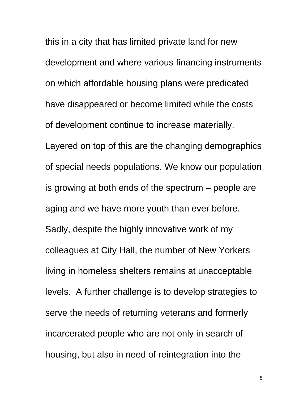this in a city that has limited private land for new development and where various financing instruments on which affordable housing plans were predicated have disappeared or become limited while the costs of development continue to increase materially. Layered on top of this are the changing demographics of special needs populations. We know our population is growing at both ends of the spectrum – people are aging and we have more youth than ever before. Sadly, despite the highly innovative work of my colleagues at City Hall, the number of New Yorkers living in homeless shelters remains at unacceptable levels. A further challenge is to develop strategies to serve the needs of returning veterans and formerly incarcerated people who are not only in search of housing, but also in need of reintegration into the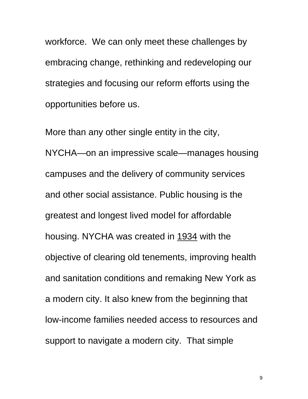workforce. We can only meet these challenges by embracing change, rethinking and redeveloping our strategies and focusing our reform efforts using the opportunities before us.

More than any other single entity in the city, NYCHA—on an impressive scale—manages housing campuses and the delivery of community services and other social assistance. Public housing is the greatest and longest lived model for affordable housing. NYCHA was created in 1934 with the objective of clearing old tenements, improving health and sanitation conditions and remaking New York as a modern city. It also knew from the beginning that low-income families needed access to resources and support to navigate a modern city. That simple

9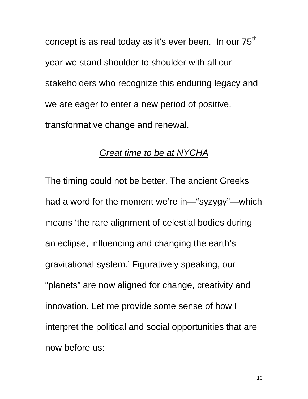concept is as real today as it's ever been. In our  $75<sup>th</sup>$ year we stand shoulder to shoulder with all our stakeholders who recognize this enduring legacy and we are eager to enter a new period of positive, transformative change and renewal.

#### *Great time to be at NYCHA*

The timing could not be better. The ancient Greeks had a word for the moment we're in—"syzygy"—which means 'the rare alignment of celestial bodies during an eclipse, influencing and changing the earth's gravitational system.' Figuratively speaking, our "planets" are now aligned for change, creativity and innovation. Let me provide some sense of how I interpret the political and social opportunities that are now before us: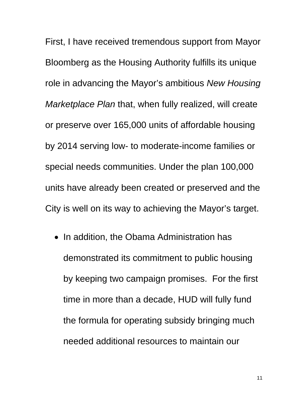First, I have received tremendous support from Mayor Bloomberg as the Housing Authority fulfills its unique role in advancing the Mayor's ambitious *New Housing Marketplace Plan* that, when fully realized, will create or preserve over 165,000 units of affordable housing by 2014 serving low- to moderate-income families or special needs communities. Under the plan 100,000 units have already been created or preserved and the City is well on its way to achieving the Mayor's target.

• In addition, the Obama Administration has demonstrated its commitment to public housing by keeping two campaign promises. For the first time in more than a decade, HUD will fully fund the formula for operating subsidy bringing much needed additional resources to maintain our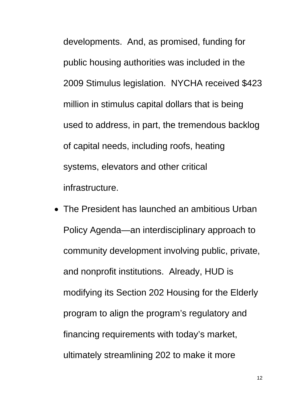developments. And, as promised, funding for public housing authorities was included in the 2009 Stimulus legislation. NYCHA received \$423 million in stimulus capital dollars that is being used to address, in part, the tremendous backlog of capital needs, including roofs, heating systems, elevators and other critical infrastructure.

 The President has launched an ambitious Urban Policy Agenda—an interdisciplinary approach to community development involving public, private, and nonprofit institutions. Already, HUD is modifying its Section 202 Housing for the Elderly program to align the program's regulatory and financing requirements with today's market, ultimately streamlining 202 to make it more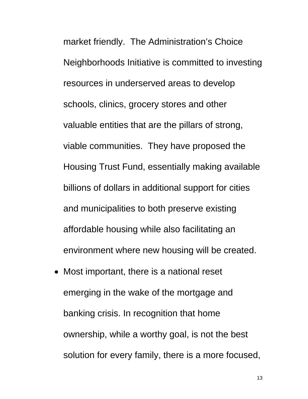market friendly. The Administration's Choice Neighborhoods Initiative is committed to investing resources in underserved areas to develop schools, clinics, grocery stores and other valuable entities that are the pillars of strong, viable communities. They have proposed the Housing Trust Fund, essentially making available billions of dollars in additional support for cities and municipalities to both preserve existing affordable housing while also facilitating an environment where new housing will be created.

• Most important, there is a national reset emerging in the wake of the mortgage and banking crisis. In recognition that home ownership, while a worthy goal, is not the best solution for every family, there is a more focused,

13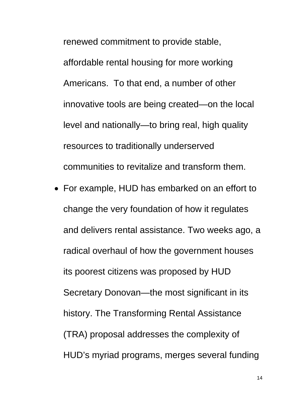renewed commitment to provide stable, affordable rental housing for more working Americans. To that end, a number of other innovative tools are being created—on the local level and nationally—to bring real, high quality resources to traditionally underserved communities to revitalize and transform them.

 For example, HUD has embarked on an effort to change the very foundation of how it regulates and delivers rental assistance. Two weeks ago, a radical overhaul of how the government houses its poorest citizens was proposed by HUD Secretary Donovan—the most significant in its history. The Transforming Rental Assistance (TRA) proposal addresses the complexity of HUD's myriad programs, merges several funding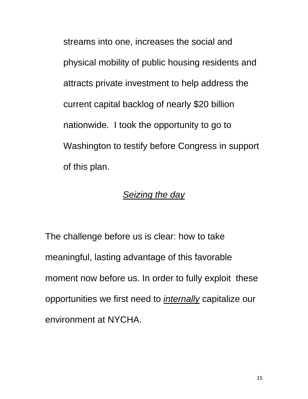streams into one, increases the social and physical mobility of public housing residents and attracts private investment to help address the current capital backlog of nearly \$20 billion nationwide. I took the opportunity to go to Washington to testify before Congress in support of this plan.

# *Seizing the day*

The challenge before us is clear: how to take meaningful, lasting advantage of this favorable moment now before us. In order to fully exploit these opportunities we first need to *internally* capitalize our environment at NYCHA.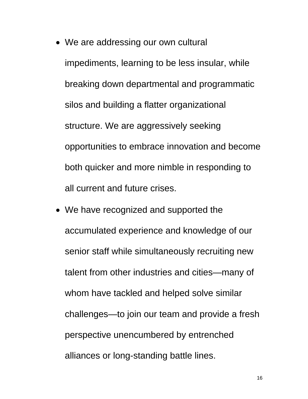- We are addressing our own cultural impediments, learning to be less insular, while breaking down departmental and programmatic silos and building a flatter organizational structure. We are aggressively seeking opportunities to embrace innovation and become both quicker and more nimble in responding to all current and future crises.
- We have recognized and supported the accumulated experience and knowledge of our senior staff while simultaneously recruiting new talent from other industries and cities—many of whom have tackled and helped solve similar challenges—to join our team and provide a fresh perspective unencumbered by entrenched alliances or long-standing battle lines.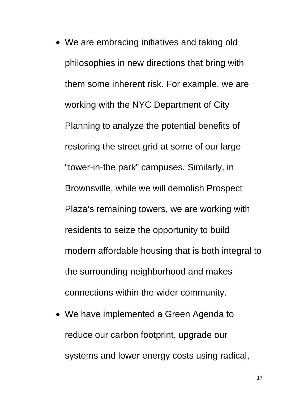- We are embracing initiatives and taking old philosophies in new directions that bring with them some inherent risk. For example, we are working with the NYC Department of City Planning to analyze the potential benefits of restoring the street grid at some of our large "tower-in-the park" campuses. Similarly, in Brownsville, while we will demolish Prospect Plaza's remaining towers, we are working with residents to seize the opportunity to build modern affordable housing that is both integral to the surrounding neighborhood and makes connections within the wider community.
- We have implemented a Green Agenda to reduce our carbon footprint, upgrade our systems and lower energy costs using radical,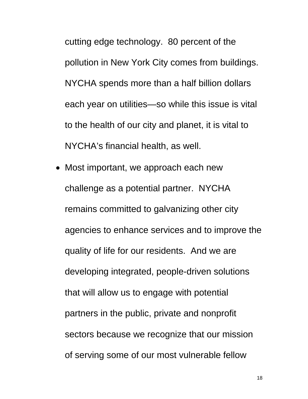cutting edge technology. 80 percent of the pollution in New York City comes from buildings. NYCHA spends more than a half billion dollars each year on utilities—so while this issue is vital to the health of our city and planet, it is vital to NYCHA's financial health, as well.

• Most important, we approach each new challenge as a potential partner. NYCHA remains committed to galvanizing other city agencies to enhance services and to improve the quality of life for our residents. And we are developing integrated, people-driven solutions that will allow us to engage with potential partners in the public, private and nonprofit sectors because we recognize that our mission of serving some of our most vulnerable fellow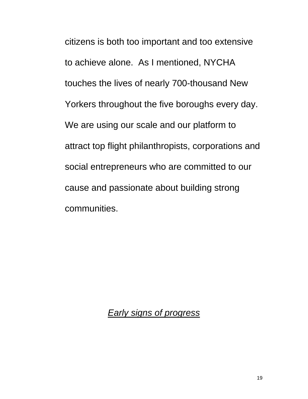citizens is both too important and too extensive to achieve alone. As I mentioned, NYCHA touches the lives of nearly 700-thousand New Yorkers throughout the five boroughs every day. We are using our scale and our platform to attract top flight philanthropists, corporations and social entrepreneurs who are committed to our cause and passionate about building strong communities.

*Early signs of progress*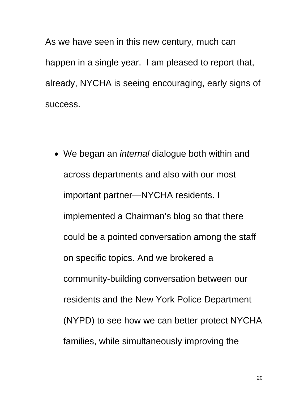As we have seen in this new century, much can happen in a single year. I am pleased to report that, already, NYCHA is seeing encouraging, early signs of success.

 We began an *internal* dialogue both within and across departments and also with our most important partner—NYCHA residents. I implemented a Chairman's blog so that there could be a pointed conversation among the staff on specific topics. And we brokered a community-building conversation between our residents and the New York Police Department (NYPD) to see how we can better protect NYCHA families, while simultaneously improving the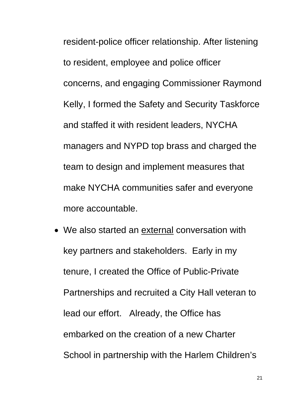resident-police officer relationship. After listening to resident, employee and police officer concerns, and engaging Commissioner Raymond Kelly, I formed the Safety and Security Taskforce and staffed it with resident leaders, NYCHA managers and NYPD top brass and charged the team to design and implement measures that make NYCHA communities safer and everyone more accountable.

 We also started an external conversation with key partners and stakeholders. Early in my tenure, I created the Office of Public-Private Partnerships and recruited a City Hall veteran to lead our effort. Already, the Office has embarked on the creation of a new Charter School in partnership with the Harlem Children's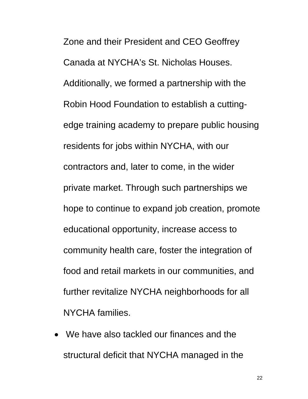Zone and their President and CEO Geoffrey Canada at NYCHA's St. Nicholas Houses. Additionally, we formed a partnership with the Robin Hood Foundation to establish a cuttingedge training academy to prepare public housing residents for jobs within NYCHA, with our contractors and, later to come, in the wider private market. Through such partnerships we hope to continue to expand job creation, promote educational opportunity, increase access to community health care, foster the integration of food and retail markets in our communities, and further revitalize NYCHA neighborhoods for all NYCHA families.

 We have also tackled our finances and the structural deficit that NYCHA managed in the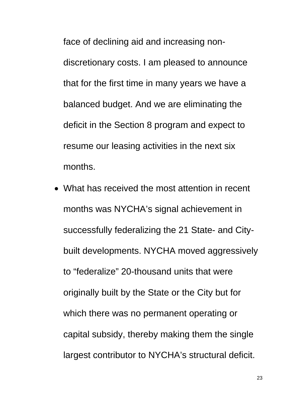face of declining aid and increasing nondiscretionary costs. I am pleased to announce that for the first time in many years we have a balanced budget. And we are eliminating the deficit in the Section 8 program and expect to resume our leasing activities in the next six months.

 What has received the most attention in recent months was NYCHA's signal achievement in successfully federalizing the 21 State- and Citybuilt developments. NYCHA moved aggressively to "federalize" 20-thousand units that were originally built by the State or the City but for which there was no permanent operating or capital subsidy, thereby making them the single largest contributor to NYCHA's structural deficit.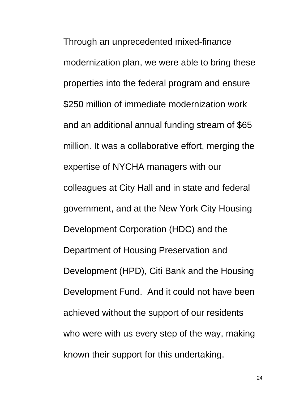Through an unprecedented mixed-finance modernization plan, we were able to bring these properties into the federal program and ensure \$250 million of immediate modernization work and an additional annual funding stream of \$65 million. It was a collaborative effort, merging the expertise of NYCHA managers with our colleagues at City Hall and in state and federal government, and at the New York City Housing Development Corporation (HDC) and the Department of Housing Preservation and Development (HPD), Citi Bank and the Housing Development Fund. And it could not have been achieved without the support of our residents who were with us every step of the way, making known their support for this undertaking.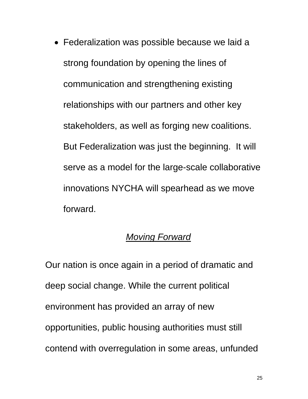Federalization was possible because we laid a strong foundation by opening the lines of communication and strengthening existing relationships with our partners and other key stakeholders, as well as forging new coalitions. But Federalization was just the beginning. It will serve as a model for the large-scale collaborative innovations NYCHA will spearhead as we move forward.

# *Moving Forward*

Our nation is once again in a period of dramatic and deep social change. While the current political environment has provided an array of new opportunities, public housing authorities must still contend with overregulation in some areas, unfunded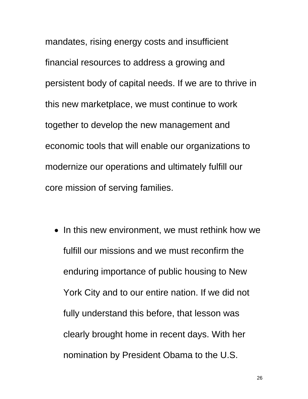mandates, rising energy costs and insufficient financial resources to address a growing and persistent body of capital needs. If we are to thrive in this new marketplace, we must continue to work together to develop the new management and economic tools that will enable our organizations to modernize our operations and ultimately fulfill our core mission of serving families.

• In this new environment, we must rethink how we fulfill our missions and we must reconfirm the enduring importance of public housing to New York City and to our entire nation. If we did not fully understand this before, that lesson was clearly brought home in recent days. With her nomination by President Obama to the U.S.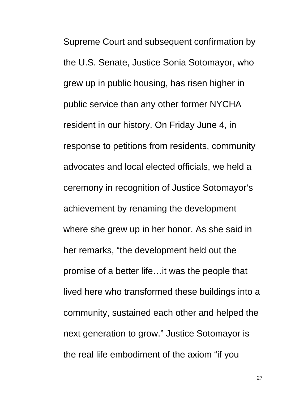Supreme Court and subsequent confirmation by the U.S. Senate, Justice Sonia Sotomayor, who grew up in public housing, has risen higher in public service than any other former NYCHA resident in our history. On Friday June 4, in response to petitions from residents, community advocates and local elected officials, we held a ceremony in recognition of Justice Sotomayor's achievement by renaming the development where she grew up in her honor. As she said in her remarks, "the development held out the promise of a better life…it was the people that lived here who transformed these buildings into a community, sustained each other and helped the next generation to grow." Justice Sotomayor is the real life embodiment of the axiom "if you

27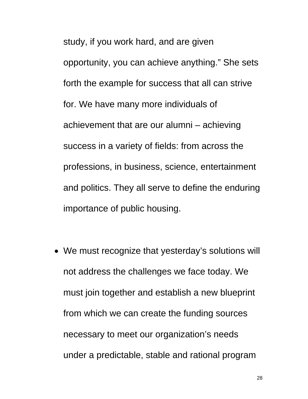study, if you work hard, and are given opportunity, you can achieve anything." She sets forth the example for success that all can strive for. We have many more individuals of achievement that are our alumni – achieving success in a variety of fields: from across the professions, in business, science, entertainment and politics. They all serve to define the enduring importance of public housing.

 We must recognize that yesterday's solutions will not address the challenges we face today. We must join together and establish a new blueprint from which we can create the funding sources necessary to meet our organization's needs under a predictable, stable and rational program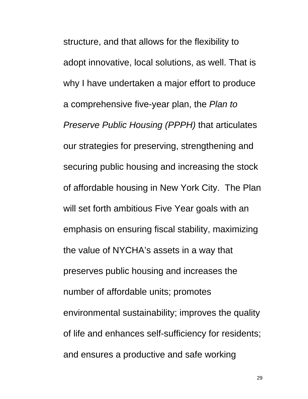structure, and that allows for the flexibility to adopt innovative, local solutions, as well. That is why I have undertaken a major effort to produce a comprehensive five-year plan, the *Plan to Preserve Public Housing (PPPH)* that articulates our strategies for preserving, strengthening and securing public housing and increasing the stock of affordable housing in New York City. The Plan will set forth ambitious Five Year goals with an emphasis on ensuring fiscal stability, maximizing the value of NYCHA's assets in a way that preserves public housing and increases the number of affordable units; promotes environmental sustainability; improves the quality of life and enhances self-sufficiency for residents; and ensures a productive and safe working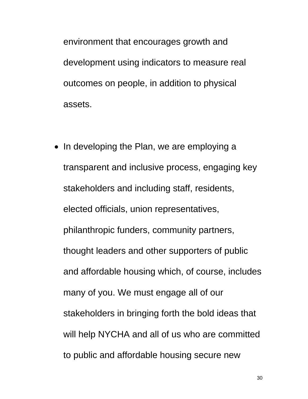environment that encourages growth and development using indicators to measure real outcomes on people, in addition to physical assets.

• In developing the Plan, we are employing a transparent and inclusive process, engaging key stakeholders and including staff, residents, elected officials, union representatives, philanthropic funders, community partners, thought leaders and other supporters of public and affordable housing which, of course, includes many of you. We must engage all of our stakeholders in bringing forth the bold ideas that will help NYCHA and all of us who are committed to public and affordable housing secure new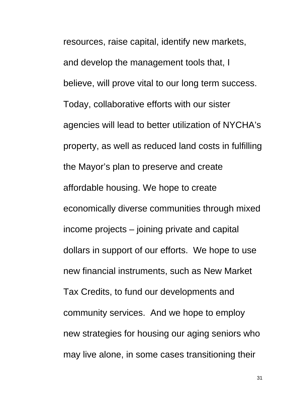resources, raise capital, identify new markets, and develop the management tools that, I believe, will prove vital to our long term success. Today, collaborative efforts with our sister agencies will lead to better utilization of NYCHA's property, as well as reduced land costs in fulfilling the Mayor's plan to preserve and create affordable housing. We hope to create economically diverse communities through mixed income projects – joining private and capital dollars in support of our efforts. We hope to use new financial instruments, such as New Market Tax Credits, to fund our developments and community services. And we hope to employ new strategies for housing our aging seniors who may live alone, in some cases transitioning their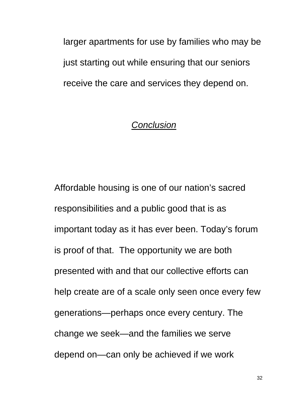larger apartments for use by families who may be just starting out while ensuring that our seniors receive the care and services they depend on.

### *Conclusion*

Affordable housing is one of our nation's sacred responsibilities and a public good that is as important today as it has ever been. Today's forum is proof of that. The opportunity we are both presented with and that our collective efforts can help create are of a scale only seen once every few generations—perhaps once every century. The change we seek—and the families we serve depend on—can only be achieved if we work